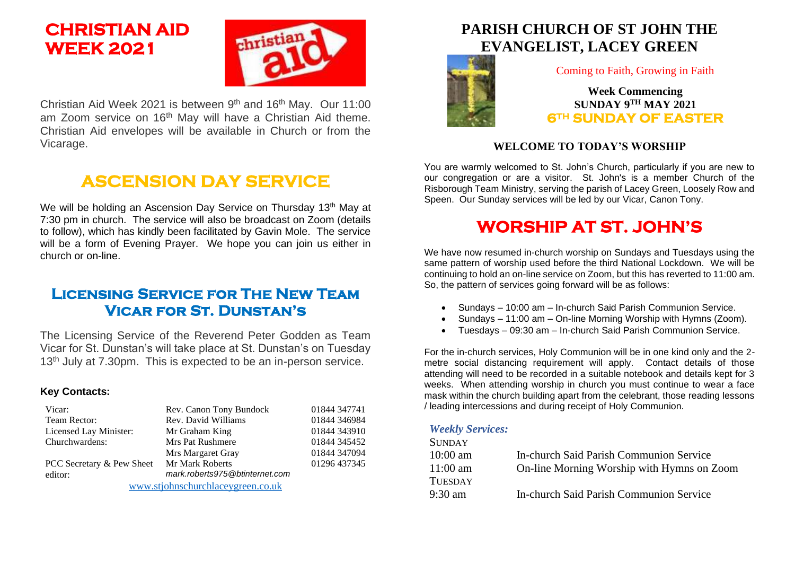# **CHRISTIAN AID WEEK 2021**



Christian Aid Week 2021 is between  $9<sup>th</sup>$  and 16<sup>th</sup> May. Our 11:00 am Zoom service on 16<sup>th</sup> May will have a Christian Aid theme. Christian Aid envelopes will be available in Church or from the Vicarage.

# **ASCENSION DAY SERVICE**

We will be holding an Ascension Day Service on Thursday 13<sup>th</sup> May at 7:30 pm in church. The service will also be broadcast on Zoom (details to follow), which has kindly been facilitated by Gavin Mole. The service will be a form of Evening Prayer. We hope you can join us either in church or on-line.

## **Licensing Service for The New Team Vicar for St. Dunstan's**

The Licensing Service of the Reverend Peter Godden as Team Vicar for St. Dunstan's will take place at St. Dunstan's on Tuesday 13<sup>th</sup> July at 7.30pm. This is expected to be an in-person service.

#### **Key Contacts:**

| Vicar:                            | Rev. Canon Tony Bundock        | 01844 347741 |
|-----------------------------------|--------------------------------|--------------|
| Team Rector:                      | Rev. David Williams            | 01844 346984 |
| Licensed Lay Minister:            | Mr Graham King                 | 01844 343910 |
| Churchwardens:                    | Mrs Pat Rushmere               | 01844 345452 |
|                                   | Mrs Margaret Gray              | 01844 347094 |
| PCC Secretary & Pew Sheet         | <b>Mr Mark Roberts</b>         | 01296 437345 |
| editor:                           | mark.roberts975@btinternet.com |              |
| www.stjohnschurchlaceygreen.co.uk |                                |              |

## **PARISH CHURCH OF ST JOHN THE EVANGELIST, LACEY GREEN**



Coming to Faith, Growing in Faith

### **Week Commencing SUNDAY 9 TH MAY 2021 6TH SUNDAY OF EASTER**

### **WELCOME TO TODAY'S WORSHIP**

You are warmly welcomed to St. John's Church, particularly if you are new to our congregation or are a visitor. St. John's is a member Church of the Risborough Team Ministry, serving the parish of Lacey Green, Loosely Row and Speen. Our Sunday services will be led by our Vicar, Canon Tony.

## **WORSHIP AT ST. JOHN'S**

We have now resumed in-church worship on Sundays and Tuesdays using the same pattern of worship used before the third National Lockdown. We will be continuing to hold an on-line service on Zoom, but this has reverted to 11:00 am. So, the pattern of services going forward will be as follows:

- Sundays 10:00 am In-church Said Parish Communion Service.
- Sundays 11:00 am On-line Morning Worship with Hymns (Zoom).
- Tuesdays 09:30 am In-church Said Parish Communion Service.

For the in-church services, Holy Communion will be in one kind only and the 2 metre social distancing requirement will apply. Contact details of those attending will need to be recorded in a suitable notebook and details kept for 3 weeks. When attending worship in church you must continue to wear a face mask within the church building apart from the celebrant, those reading lessons / leading intercessions and during receipt of Holy Communion.

#### *Weekly Services:*

| <b>SUNDAY</b>     |                                                |
|-------------------|------------------------------------------------|
| $10:00$ am        | <b>In-church Said Parish Communion Service</b> |
| $11:00$ am        | On-line Morning Worship with Hymns on Zoom     |
| <b>TUESDAY</b>    |                                                |
| $9:30 \text{ am}$ | <b>In-church Said Parish Communion Service</b> |